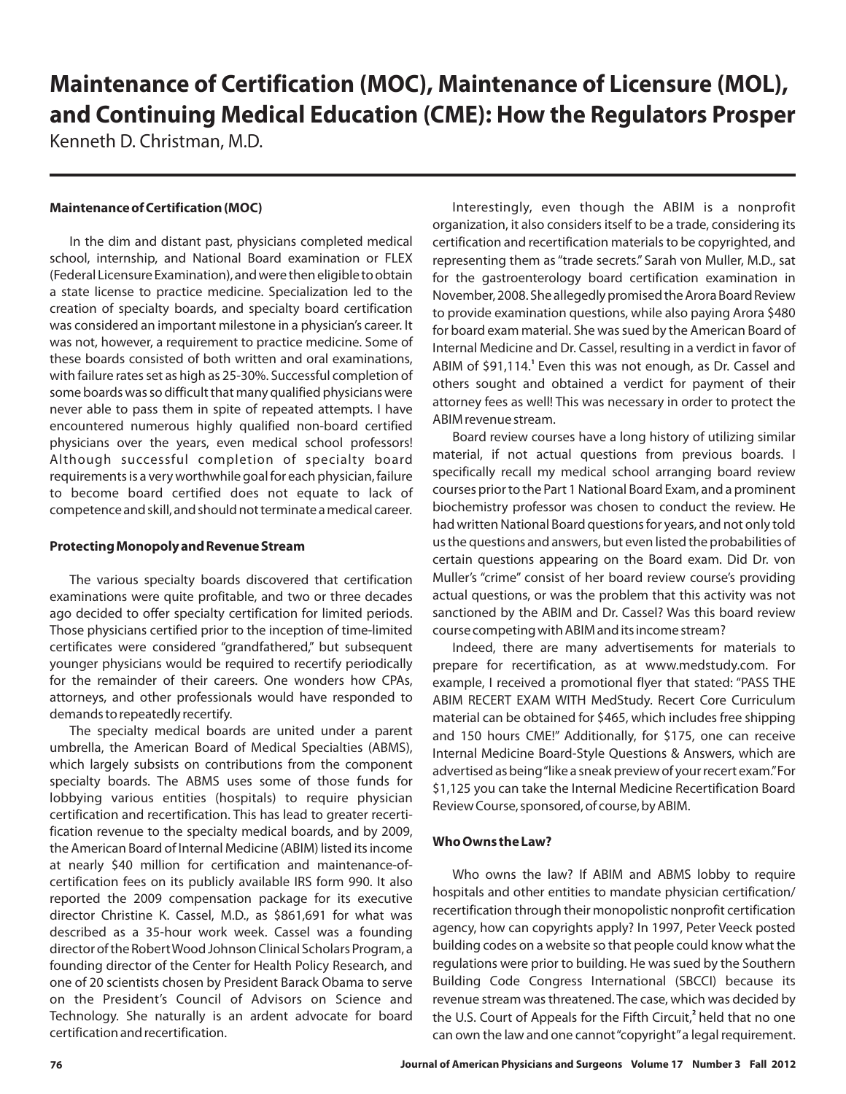# **Maintenance of Certification (MOC), Maintenance of Licensure (MOL), and Continuing Medical Education (CME): How the Regulators Prosper**

Kenneth D. Christman, M.D.

### **Maintenance of Certification (MOC)**

In the dim and distant past, physicians completed medical school, internship, and National Board examination or FLEX (Federal Licensure Examination), and were then eligible to obtain a state license to practice medicine. Specialization led to the creation of specialty boards, and specialty board certification was considered an important milestone in a physician's career. It was not, however, a requirement to practice medicine. Some of these boards consisted of both written and oral examinations, with failure rates set as high as 25‐30%. Successful completion of some boards was so difficult that many qualified physicians were never able to pass them in spite of repeated attempts. I have encountered numerous highly qualified non‐board certified physicians over the years, even medical school professors! Although successful completion of specialty board requirements is a very worthwhile goal for each physician, failure to become board certified does not equate to lack of competence and skill, and should not terminate a medical career.

#### **Protecting Monopoly and Revenue Stream**

The various specialty boards discovered that certification examinations were quite profitable, and two or three decades ago decided to offer specialty certification for limited periods. Those physicians certified prior to the inception of time‐limited certificates were considered "grandfathered," but subsequent younger physicians would be required to recertify periodically for the remainder of their careers. One wonders how CPAs, attorneys, and other professionals would have responded to demands to repeatedly recertify.

The specialty medical boards are united under a parent umbrella, the American Board of Medical Specialties (ABMS), which largely subsists on contributions from the component specialty boards. The ABMS uses some of those funds for lobbying various entities (hospitals) to require physician certification and recertification. This has lead to greater recertification revenue to the specialty medical boards, and by 2009, the American Board of Internal Medicine (ABIM) listed its income at nearly \$40 million for certification and maintenance‐of‐ certification fees on its publicly available IRS form 990. It also reported the 2009 compensation package for its executive director Christine K. Cassel, M.D., as \$861,691 for what was described as a 35-hour work week. Cassel was a founding director of the RobertWood Johnson Clinical Scholars Program, a founding director of the Center for Health Policy Research, and one of 20 scientists chosen by President Barack Obama to serve on the President's Council of Advisors on Science and Technology. She naturally is an ardent advocate for board certification and recertification.

Interestingly, even though the ABIM is a nonprofit organization, it also considers itself to be a trade, considering its certification and recertification materials to be copyrighted, and representing them as "trade secrets." Sarah von Muller, M.D., sat for the gastroenterology board certification examination in November, 2008. She allegedly promised the Arora Board Review to provide examination questions, while also paying Arora \$480 for board exam material. She was sued by the American Board of Internal Medicine and Dr. Cassel, resulting in a verdict in favor of ABIM of \$91,114.<sup>1</sup> Even this was not enough, as Dr. Cassel and others sought and obtained a verdict for payment of their attorney fees as well! This was necessary in order to protect the ABIM revenue stream.

Board review courses have a long history of utilizing similar material, if not actual questions from previous boards. I specifically recall my medical school arranging board review courses prior to the Part 1 National Board Exam, and a prominent biochemistry professor was chosen to conduct the review. He had written National Board questions for years, and not only told us the questions and answers, but even listed the probabilities of certain questions appearing on the Board exam. Did Dr. von Muller's "crime" consist of her board review course's providing actual questions, or was the problem that this activity was not sanctioned by the ABIM and Dr. Cassel? Was this board review course competing with ABIM and its income stream?

Indeed, there are many advertisements for materials to prepare for recertification, as at www.medstudy.com. For example, I received a promotional flyer that stated: "PASS THE ABIM RECERT EXAM WITH MedStudy. Recert Core Curriculum material can be obtained for \$465, which includes free shipping and 150 hours CME!" Additionally, for \$175, one can receive Internal Medicine Board‐Style Questions & Answers, which are advertis ed as being"like a sneak preview of your recert exam."For \$1,125 you can take the Internal Medicine Recertification Board Review Course, sponsored, of course, by ABIM.

## **Who Owns the Law?**

hospitals and other entities to mandate physician certification/ recertification through their monopolistic nonprofit certification agency, how can copyrights apply? In 1997, Peter Veeck posted building codes on a website so that people could know what the regulations were prior to building. He was sued by the Southern Building Code Congress International (SBCCI) because its revenue stream was threatened. The case, which was decided by the U.S. Court of Appeals for the Fifth Circuit,<sup>2</sup> held that no one can own the law and one cannot"copyright"a legal requirement. Who owns the law? If ABIM and ABMS lobby to require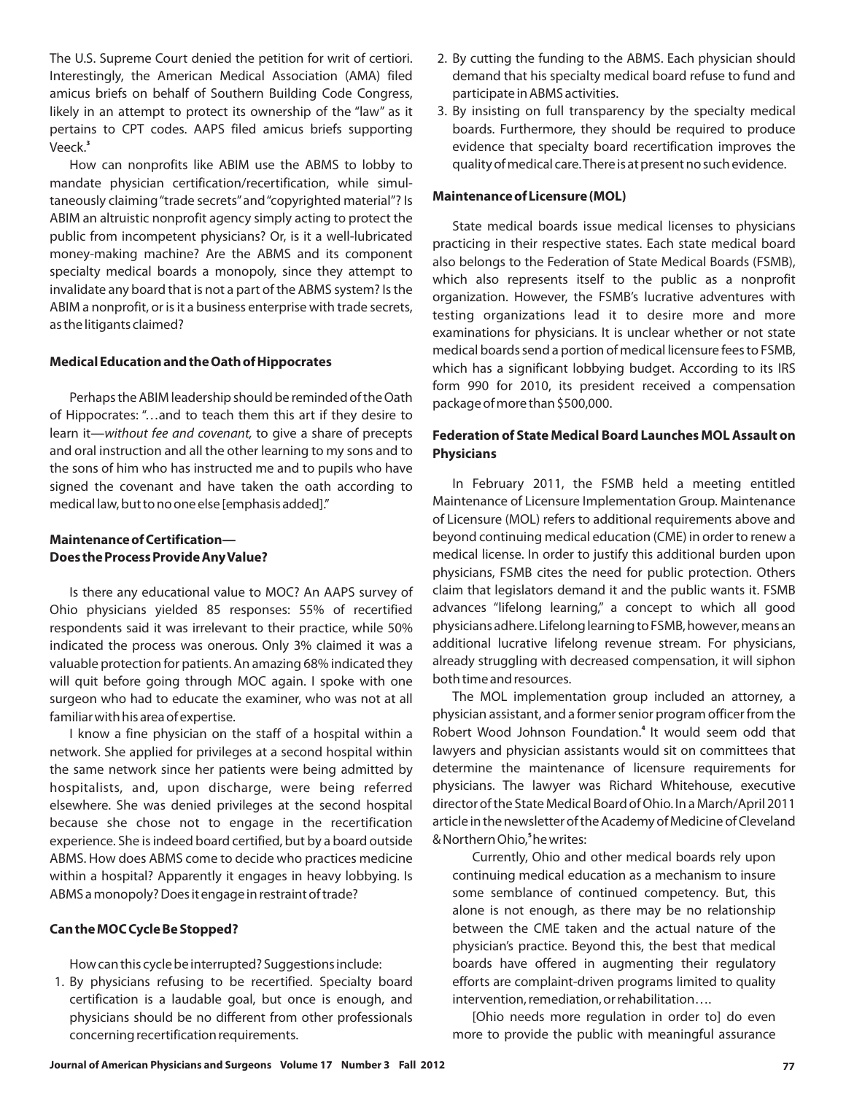The U.S. Supreme Court denied the petition for writ of certiori. Interestingly, the American Medical Association (AMA) filed amicus briefs on behalf of Southern Building Code Congress, likely in an attempt to protect its ownership of the "law" as it pertains to CPT codes. AAPS filed amicus briefs supporting Veeck. **3**

How can nonprofits like ABIM use the ABMS to lobby to mandate physician certification/recertification, while simultaneously claiming"trade secrets"and"copyrighted material"? Is ABIM an altruistic nonprofit agency simply acting to protect the public from incompetent physicians? Or, is it a well‐lubricated money‐making machine? Are the ABMS and its component specialty medical boards a monopoly, since they attempt to invalidate any board that is not a part of the ABMS system? Is the ABIM a nonprofit, or is it a business enterprise with trade secrets, as the litigants claimed?

#### **Medical Education and the Oath of Hippocrates**

Perhaps the ABIM leadership should be reminded of the Oath of Hippocrates: "…and to teach them this art if they desire to learn it—without fee and covenant, to give a share of precepts and oral instruction and all the other learning to my sons and to the sons of him who has instructed me and to pupils who have signed the covenant and have taken the oath according to medical law, but to no one else [emphasis added]."

# **Maintenance of Certification— Does the Process Provide AnyValue?**

Is there any educational value to MOC? An AAPS survey of Ohio physicians yielded 85 responses: 55% of recertified respondents said it was irrelevant to their practice, while 50% indicated the process was onerous. Only 3% claimed it was a valuable protection for patients. An amazing 68% indicated they will quit before going through MOC again. I spoke with one surgeon who had to educate the examiner, who was not at all familiar with his area of expertise.

I know a fine physician on the staff of a hospital within a network. She applied for privileges at a second hospital within the same network since her patients were being admitted by hospitalists, and, upon discharge, were being referred elsewhere. She was denied privileges at the second hospital because she chose not to engage in the recertification experience. She is indeed board certified, but by a board outside ABMS. How does ABMS come to decide who practices medicine within a hospital? Apparently it engages in heavy lobbying. Is ABMS a monopoly? Does it engage in restraint of trade?

## **Can the MOC Cycle Be Stopped?**

How can this cycle be interrupted? Suggestions include:

1. By physicians refusing to be recertified. Specialty board certification is a laudable goal, but once is enough, and physicians should be no different from other professionals concerning recertification requirements.

- 2. By cutting the funding to the ABMS. Each physician should demand that his specialty medical board refuse to fund and participate in ABMS activities.
- 3. By insisting on full transparency by the specialty medical boards. Furthermore, they should be required to produce evidence that specialty board recertification improves the quality of medical care.There is at present no such evidence.

#### **Maintenance of Licensure (MOL)**

State medical boards issue medical licenses to physicians practicing in their respective states. Each state medical board also belongs to the Federation of State Medical Boards (FSMB), which also represents itself to the public as a nonprofit organization. However, the FSMB's lucrative adventures with testing organizations lead it to desire more and more examinations for physicians. It is unclear whether or not state medical boards send a portion of medical licensure fees to FSMB, which has a significant lobbying budget. According to its IRS form 990 for 2010, its president received a compensation package of more than \$500,000.

## **Federation of State Medical Board Launches MOL Assault on Physicians**

In February 2011, the FSMB held a meeting entitled Maintenance of Licensure Implementation Group. Maintenance of Licensure (MOL) refers to additional requirements above and beyond continuing medical education (CME) in order to renew a medical license. In order to justify this additional burden upon physicians, FSMB cites the need for public protection. Others claim that legislators demand it and the public wants it. FSMB advances "lifelong learning," a concept to which all good physicians adhere. Lifelong learning to FSMB, however, means an additional lucrative lifelong revenue stream. For physicians, already struggling with decreased compensation, it will siphon both time and resources.

The MOL implementation group included an attorney, a physician assistant, and a former senior program officer from the Robert Wood Johnson Foundation.<sup>4</sup> It would seem odd that lawyers and physician assistants would sit on committees that determine the maintenance of licensure requirements for physicians. The lawyer was Richard Whitehouse, executive director of the State Medical Board of Ohio. In a March/April 2011 article in the newsletter of the Academy of Medicine of Cleveland & Northern Ohio,<sup>5</sup>he writes:

Currently, Ohio and other medical boards rely upon continuing medical education as a mechanism to insure some semblance of continued competency. But, this alone is not enough, as there may be no relationship between the CME taken and the actual nature of the physician's practice. Beyond this, the best that medical boards have offered in augmenting their regulatory efforts are complaint‐driven programs limited to quality intervention, remediation, or rehabilitation….

[Ohio needs more regulation in order to] do even more to provide the public with meaningful assurance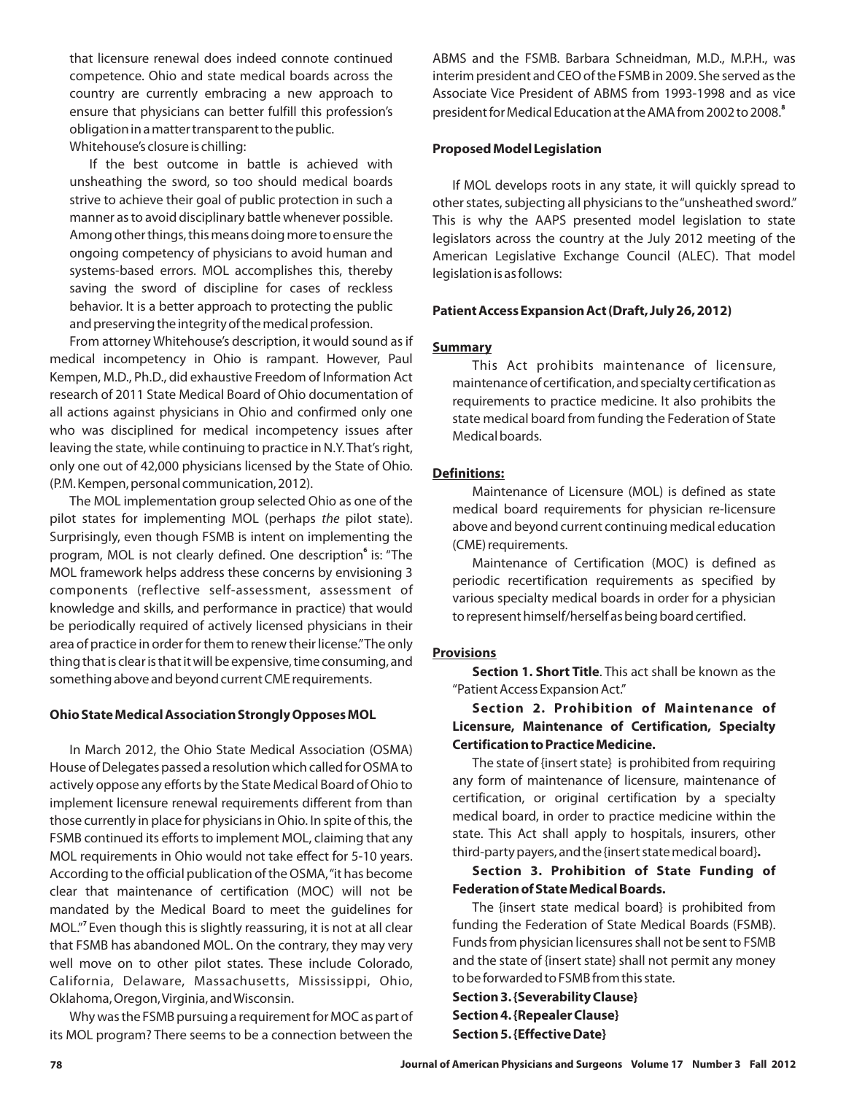that licensure renewal does indeed connote continued competence. Ohio and state medical boards across the country are currently embracing a new approach to ensure that physicians can better fulfill this profession's obligation in a matter transparent to the public. Whitehouse's closure is chilling:

If the best outcome in battle is achieved with unsheathing the sword, so too should medical boards strive to achieve their goal of public protection in such a manner as to avoid disciplinary battle whenever possible. Among other things, this means doing more to ensure the ongoing competency of physicians to avoid human and systems‐based errors. MOL accomplishes this, thereby saving the sword of discipline for cases of reckless behavior. It is a better approach to protecting the public and preserving the integrity of the medical profession.

From attorney Whitehouse's description, it would sound as if medical incompetency in Ohio is rampant. However, Paul Kempen, M.D., Ph.D., did exhaustive Freedom of Information Act research of 2011 State Medical Board of Ohio documentation of all actions against physicians in Ohio and confirmed only one who was disciplined for medical incompetency issues after leaving the state, while continuing to practice in N.Y. That's right, only one out of 42,000 physicians licensed by the State of Ohio. (P.M. Kempen, personal communication, 2012).

The MOL implementation group selected Ohio as one of the pilot states for implementing MOL (perhaps the pilot state). Surprisingly, even though FSMB is intent on implementing the program, MOL is not clearly defined. One description<sup>6</sup> is: "The MOL framework helps address these concerns by envisioning 3 components (reflective self‐assessment, assessment of knowledge and skills, and performance in practice) that would be periodically required of actively licensed physicians in their area of practice in order for them to renew their license."The only thing that is clear is that it will be expensive, time consuming, and something above and beyond current CME requirements.

#### **Ohio State Medical Association Strongly Opposes MOL**

In March 2012, the Ohio State Medical Association (OSMA) House of Delegates passed a resolution which called for OSMA to actively oppose any efforts by the State Medical Board of Ohio to implement licensure renewal requirements different from than those currently in place for physicians in Ohio. In spite of this, the FSMB continued its efforts to implement MOL, claiming that any MOL requirements in Ohio would not take effect for 5‐10 years. According to the official publication of the OSMA,"it has become clear that maintenance of certification (MOC) will not be mandated by the Medical Board to meet the guidelines for MOL." Even though this is slightly reassuring, it is not at all clear **7** that FSMB has abandoned MOL. On the contrary, they may very well move on to other pilot states. These include Colorado, California, Delaware, Massachusetts, Mississippi, Ohio, Oklahoma, Oregon,Virginia, andWisconsin.

Why was the FSMB pursuing a requirement for MOC as part of its MOL program? There seems to be a connection between the ABMS and the FSMB. Barbara Schneidman, M.D., M.P.H., was interim president and CEO of the FSMB in 2009. She served as the Associate Vice President of ABMS from 1993‐1998 and as vice president for Medical Education at the AMA from 2002 to 2008. **8**

#### **Proposed Model Legislation**

If MOL develops roots in any state, it will quickly spread to other states, subjecting all physicians to the"unsheathed sword." This is why the AAPS presented model legislation to state legislators across the country at the July 2012 meeting of the American Legislative Exchange Council (ALEC). That model legislation is as follows:

#### **Patient Access Expansion Act (Draft, July 26, 2012)**

#### **Summary**

This Act prohibits maintenance of licensure, maintenance of certification, and specialty certification as requirements to practice medicine. It also prohibits the state medical board from funding the Federation of State Medical boards.

#### **Definitions:**

Maintenance of Licensure (MOL) is defined as state medical board requirements for physician re‐licensure above and beyond current continuing medical education (CME) requirements.

Maintenance of Certification (MOC) is defined as periodic recertification requirements as specified by various specialty medical boards in order for a physician to represent himself/herself as being board certified.

#### **Provisions**

**Section 1. Short Title**. This act shall be known as the "Patient Access Expansion Act."

# **Section 2. Prohibition of Maintenance of Licensure, Maintenance of Certification, Specialty Certification to Practice Medicine.**

The state of {insert state} is prohibited from requiring any form of maintenance of licensure, maintenance of certification, or original certification by a specialty medical board, in order to practice medicine within the state. This Act shall apply to hospitals, insurers, other third‐party payers, and the {insert state medical board} **.**

## **Section 3. Prohibition of State Funding of Federation of State Medical Boards.**

The {insert state medical board} is prohibited from funding the Federation of State Medical Boards (FSMB). Funds from physician licensures shall not be sent to FSMB and the state of {insert state} shall not permit any money to be forwarded to FSMB from this state.

**Section 3. {Severability Clause} Section 4. {Repealer Clause} Section 5. {Effective Date}**